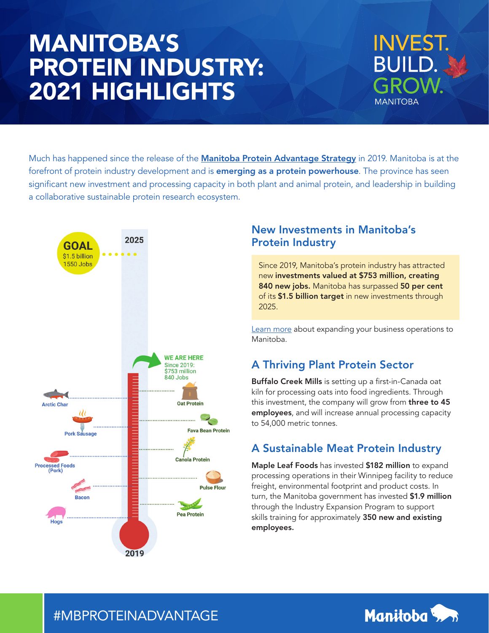# MANITOBA'S PROTEIN INDUSTRY: 2021 HIGHLIGHTS



Much has happened since the release of the **[Manitoba Protein Advantage Strategy](https://www.gov.mb.ca/agriculture/protein/sustainability/pubs/sp-base-map.pdf)** in 2019. Manitoba is at the forefront of protein industry development and is **emerging as a protein powerhouse**. The province has seen significant new investment and processing capacity in both plant and animal protein, and leadership in building a collaborative sustainable protein research ecosystem.



# New Investments in Manitoba's Protein Industry

Since 2019, Manitoba's protein industry has attracted new investments valued at \$753 million, creating 840 new jobs. Manitoba has surpassed 50 per cent of its \$1.5 billion target in new investments through 2025.

[Learn more](https://www.gov.mb.ca/agriculture/protein/invest-in-mb/index.html) about expanding your business operations to Manitoba.

# A Thriving Plant Protein Sector

Buffalo Creek Mills is setting up a first-in-Canada oat kiln for processing oats into food ingredients. Through this investment, the company will grow from **three to 45** employees, and will increase annual processing capacity to 54,000 metric tonnes.

# A Sustainable Meat Protein Industry

Maple Leaf Foods has invested \$182 million to expand processing operations in their Winnipeg facility to reduce freight, environmental footprint and product costs. In turn, the Manitoba government has invested \$1.9 million through the Industry Expansion Program to support skills training for approximately 350 new and existing employees.



# #MBPROTEINADVANTAGE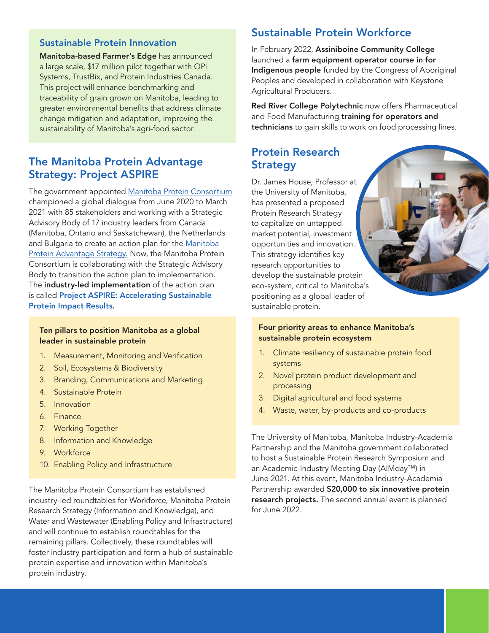#### Sustainable Protein Innovation

Manitoba-based Farmer's Edge has announced a large scale, \$17 million pilot together with OPI Systems, TrustBix, and Protein Industries Canada. This project will enhance benchmarking and traceability of grain grown on Manitoba, leading to greater environmental benefits that address climate change mitigation and adaptation, improving the sustainability of Manitoba's agri-food sector.

# The Manitoba Protein Advantage Strategy: Project ASPIRE

The government appointed [Manitoba Protein Consortium](https://www.manitoba.ca/agriculture/protein/pubs/43780-cs-protein-summit-letter.pdf) championed a global dialogue from June 2020 to March 2021 with 85 stakeholders and working with a Strategic Advisory Body of 17 industry leaders from Canada (Manitoba, Ontario and Saskatchewan), the Netherlands and Bulgaria to create an action plan for the Manitoba [Protein Advantage Strategy](https://www.gov.mb.ca/agriculture/protein/sustainability/index.html). Now, the Manitoba Protein Consortium is collaborating with the Strategic Advisory Body to transition the action plan to implementation. The industry-led implementation of the action plan is called [Project ASPIRE: Accelerating Sustainable](https://www.manitoba.ca/agriculture/protein/pubs/43780-ce-why-project-aspire.pdf)  [Protein Impact Results.](https://www.manitoba.ca/agriculture/protein/pubs/43780-ce-why-project-aspire.pdf)

#### Ten pillars to position Manitoba as a global leader in sustainable protein

- 1. Measurement, Monitoring and Verification
- 2. Soil, Ecosystems & Biodiversity
- 3. Branding, Communications and Marketing
- 4. Sustainable Protein
- 5. Innovation
- 6. Finance
- 7. Working Together
- 8. Information and Knowledge
- 9. Workforce
- 10. Enabling Policy and Infrastructure

The Manitoba Protein Consortium has established industry-led roundtables for Workforce, Manitoba Protein Research Strategy (Information and Knowledge), and Water and Wastewater (Enabling Policy and Infrastructure) and will continue to establish roundtables for the remaining pillars. Collectively, these roundtables will foster industry participation and form a hub of sustainable protein expertise and innovation within Manitoba's protein industry.

## Sustainable Protein Workforce

In February 2022, Assiniboine Community College launched a farm equipment operator course in for Indigenous people funded by the Congress of Aboriginal Peoples and developed in collaboration with Keystone Agricultural Producers.

Red River College Polytechnic now offers Pharmaceutical and Food Manufacturing training for operators and technicians to gain skills to work on food processing lines.

### Protein Research **Strategy**

Dr. James House, Professor at the University of Manitoba, has presented a proposed Protein Research Strategy to capitalize on untapped market potential, investment opportunities and innovation. This strategy identifies key research opportunities to develop the sustainable protein eco-system, critical to Manitoba's positioning as a global leader of sustainable protein.

#### Four priority areas to enhance Manitoba's sustainable protein ecosystem

- 1. Climate resiliency of sustainable protein food systems
- 2. Novel protein product development and processing
- 3. Digital agricultural and food systems
- 4. Waste, water, by-products and co-products

The University of Manitoba, Manitoba Industry-Academia Partnership and the Manitoba government collaborated to host a Sustainable Protein Research Symposium and an Academic-Industry Meeting Day (AIMday™) in June 2021. At this event, Manitoba Industry-Academia Partnership awarded \$20,000 to six innovative protein research projects. The second annual event is planned for June 2022.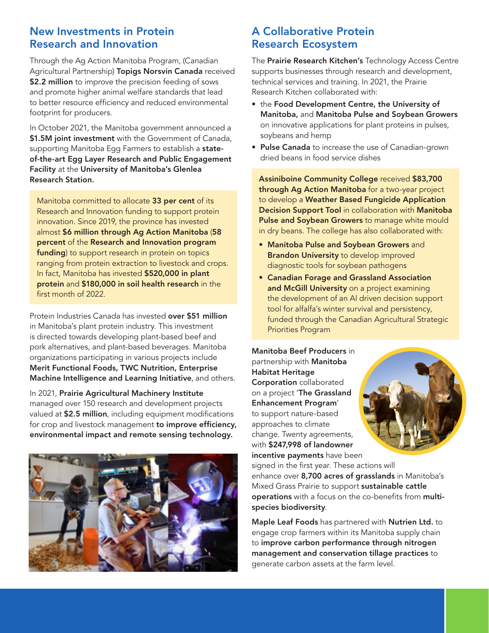# New Investments in Protein Research and Innovation

Through the Ag Action Manitoba Program, (Canadian Agricultural Partnership) Topigs Norsvin Canada received \$2.2 million to improve the precision feeding of sows and promote higher animal welfare standards that lead to better resource efficiency and reduced environmental footprint for producers.

In October 2021, the Manitoba government announced a \$1.5M joint investment with the Government of Canada, supporting Manitoba Egg Farmers to establish a stateof-the-art Egg Layer Research and Public Engagement Facility at the University of Manitoba's Glenlea Research Station.

Manitoba committed to allocate 33 per cent of its Research and Innovation funding to support protein innovation. Since 2019, the province has invested almost \$6 million through Ag Action Manitoba (58 percent of the Research and Innovation program funding) to support research in protein on topics ranging from protein extraction to livestock and crops. In fact, Manitoba has invested \$520,000 in plant protein and \$180,000 in soil health research in the first month of 2022.

Protein Industries Canada has invested over \$51 million in Manitoba's plant protein industry. This investment is directed towards developing plant-based beef and pork alternatives, and plant-based beverages. Manitoba organizations participating in various projects include Merit Functional Foods, TWC Nutrition, Enterprise Machine Intelligence and Learning Initiative, and others.

In 2021, Prairie Agricultural Machinery Institute managed over 150 research and development projects valued at \$2.5 million, including equipment modifications for crop and livestock management to improve efficiency, environmental impact and remote sensing technology.



# A Collaborative Protein Research Ecosystem

The Prairie Research Kitchen's Technology Access Centre supports businesses through research and development, technical services and training. In 2021, the Prairie Research Kitchen collaborated with:

- the Food Development Centre, the University of Manitoba, and Manitoba Pulse and Soybean Growers on innovative applications for plant proteins in pulses, soybeans and hemp
- Pulse Canada to increase the use of Canadian-grown dried beans in food service dishes

Assiniboine Community College received \$83,700 through Ag Action Manitoba for a two-year project to develop a Weather Based Fungicide Application Decision Support Tool in collaboration with Manitoba Pulse and Soybean Growers to manage white mould in dry beans. The college has also collaborated with:

- Manitoba Pulse and Soybean Growers and Brandon University to develop improved diagnostic tools for soybean pathogens
- Canadian Forage and Grassland Association and McGill University on a project examining the development of an Al driven decision support tool for alfalfa's winter survival and persistency, funded through the Canadian Agricultural Strategic Priorities Program

Manitoba Beef Producers in partnership with **Manitoba** Habitat Heritage Corporation collaborated on a project 'The Grassland Enhancement Program' to support nature-based approaches to climate change. Twenty agreements, with \$247,998 of landowner incentive payments have been



signed in the first year. These actions will enhance over 8,700 acres of grasslands in Manitoba's Mixed Grass Prairie to support sustainable cattle operations with a focus on the co-benefits from multispecies biodiversity.

Maple Leaf Foods has partnered with Nutrien Ltd. to engage crop farmers within its Manitoba supply chain to improve carbon performance through nitrogen management and conservation tillage practices to generate carbon assets at the farm level.